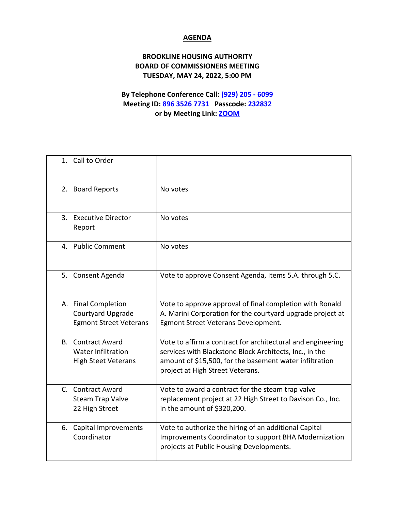## **AGENDA**

## **BROOKLINE HOUSING AUTHORITY BOARD OF COMMISSIONERS MEETING TUESDAY, MAY 24, 2022, 5:00 PM**

## **By Telephone Conference Call: (929) 205 - 6099 Meeting ID: 896 3526 7731 Passcode: 232832 or by Meeting Link: [ZOOM](https://us02web.zoom.us/j/89635267731?pwd=c1JZbVBzT3U2UEhQYnB2MEpnMENHUT09)**

|    | 1. Call to Order                                                                    |                                                                                                                                                                                                                       |
|----|-------------------------------------------------------------------------------------|-----------------------------------------------------------------------------------------------------------------------------------------------------------------------------------------------------------------------|
|    | 2. Board Reports                                                                    | No votes                                                                                                                                                                                                              |
|    | 3. Executive Director<br>Report                                                     | No votes                                                                                                                                                                                                              |
|    | 4. Public Comment                                                                   | No votes                                                                                                                                                                                                              |
|    | 5. Consent Agenda                                                                   | Vote to approve Consent Agenda, Items 5.A. through 5.C.                                                                                                                                                               |
|    | A. Final Completion<br>Courtyard Upgrade<br><b>Egmont Street Veterans</b>           | Vote to approve approval of final completion with Ronald<br>A. Marini Corporation for the courtyard upgrade project at<br>Egmont Street Veterans Development.                                                         |
|    | <b>B.</b> Contract Award<br><b>Water Infiltration</b><br><b>High Steet Veterans</b> | Vote to affirm a contract for architectural and engineering<br>services with Blackstone Block Architects, Inc., in the<br>amount of \$15,500, for the basement water infiltration<br>project at High Street Veterans. |
|    | C. Contract Award<br>Steam Trap Valve<br>22 High Street                             | Vote to award a contract for the steam trap valve<br>replacement project at 22 High Street to Davison Co., Inc.<br>in the amount of \$320,200.                                                                        |
| 6. | Capital Improvements<br>Coordinator                                                 | Vote to authorize the hiring of an additional Capital<br>Improvements Coordinator to support BHA Modernization<br>projects at Public Housing Developments.                                                            |